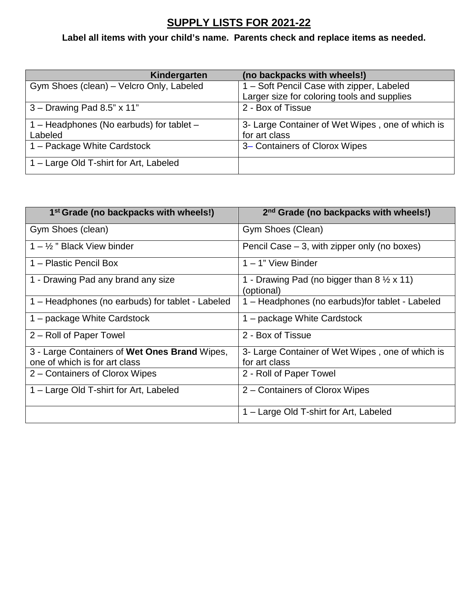## **SUPPLY LISTS FOR 2021-22**

**Label all items with your child's name. Parents check and replace items as needed.**

| Kindergarten                             | (no backpacks with wheels!)                      |
|------------------------------------------|--------------------------------------------------|
| Gym Shoes (clean) - Velcro Only, Labeled | 1 - Soft Pencil Case with zipper, Labeled        |
|                                          | Larger size for coloring tools and supplies      |
| $3 -$ Drawing Pad 8.5" x 11"             | 2 - Box of Tissue                                |
| 1 – Headphones (No earbuds) for tablet – | 3- Large Container of Wet Wipes, one of which is |
| Labeled                                  | for art class                                    |
| 1 – Package White Cardstock              | 3– Containers of Clorox Wipes                    |
| 1 – Large Old T-shirt for Art, Labeled   |                                                  |

| 1 <sup>st</sup> Grade (no backpacks with wheels!) | 2 <sup>nd</sup> Grade (no backpacks with wheels!)                         |
|---------------------------------------------------|---------------------------------------------------------------------------|
| Gym Shoes (clean)                                 | Gym Shoes (Clean)                                                         |
| $1 - \frac{1}{2}$ " Black View binder             | Pencil Case $-3$ , with zipper only (no boxes)                            |
| 1 – Plastic Pencil Box                            | $1 - 1$ " View Binder                                                     |
| 1 - Drawing Pad any brand any size                | 1 - Drawing Pad (no bigger than $8 \frac{1}{2} \times 11$ )<br>(optional) |
| 1 – Headphones (no earbuds) for tablet - Labeled  | 1 – Headphones (no earbuds) for tablet - Labeled                          |
| 1 – package White Cardstock                       | 1 – package White Cardstock                                               |
| 2 – Roll of Paper Towel                           | 2 - Box of Tissue                                                         |
| 3 - Large Containers of Wet Ones Brand Wipes,     | 3- Large Container of Wet Wipes, one of which is                          |
| one of which is for art class                     | for art class                                                             |
| 2 – Containers of Clorox Wipes                    | 2 - Roll of Paper Towel                                                   |
| 1 – Large Old T-shirt for Art, Labeled            | 2 – Containers of Clorox Wipes                                            |
|                                                   | 1 – Large Old T-shirt for Art, Labeled                                    |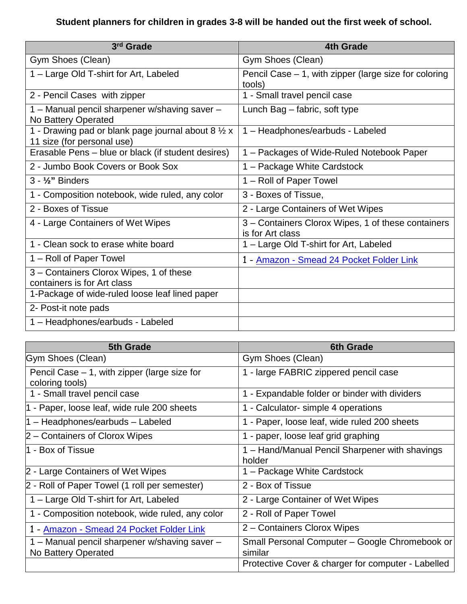## **Student planners for children in grades 3-8 will be handed out the first week of school.**

| 3rd Grade                                                                         | <b>4th Grade</b>                                                       |
|-----------------------------------------------------------------------------------|------------------------------------------------------------------------|
| Gym Shoes (Clean)                                                                 | Gym Shoes (Clean)                                                      |
| 1 – Large Old T-shirt for Art, Labeled                                            | Pencil Case $-1$ , with zipper (large size for coloring<br>tools)      |
| 2 - Pencil Cases with zipper                                                      | 1 - Small travel pencil case                                           |
| 1 – Manual pencil sharpener w/shaving saver –<br>No Battery Operated              | Lunch Bag – fabric, soft type                                          |
| 1 - Drawing pad or blank page journal about 8 1/2 x<br>11 size (for personal use) | 1 - Headphones/earbuds - Labeled                                       |
| Erasable Pens – blue or black (if student desires)                                | 1 – Packages of Wide-Ruled Notebook Paper                              |
| 2 - Jumbo Book Covers or Book Sox                                                 | 1 - Package White Cardstock                                            |
| $3 - \frac{1}{2}$ " Binders                                                       | 1 – Roll of Paper Towel                                                |
| 1 - Composition notebook, wide ruled, any color                                   | 3 - Boxes of Tissue,                                                   |
| 2 - Boxes of Tissue                                                               | 2 - Large Containers of Wet Wipes                                      |
| 4 - Large Containers of Wet Wipes                                                 | 3 – Containers Clorox Wipes, 1 of these containers<br>is for Art class |
| 1 - Clean sock to erase white board                                               | 1 – Large Old T-shirt for Art, Labeled                                 |
| 1 – Roll of Paper Towel                                                           | 1 - Amazon - Smead 24 Pocket Folder Link                               |
| 3 - Containers Clorox Wipes, 1 of these<br>containers is for Art class            |                                                                        |
| 1-Package of wide-ruled loose leaf lined paper                                    |                                                                        |
| 2- Post-it note pads                                                              |                                                                        |
| 1 - Headphones/earbuds - Labeled                                                  |                                                                        |

| <b>5th Grade</b>                                                     | <b>6th Grade</b>                                          |
|----------------------------------------------------------------------|-----------------------------------------------------------|
| Gym Shoes (Clean)                                                    | Gym Shoes (Clean)                                         |
| Pencil Case $-1$ , with zipper (large size for<br>coloring tools)    | 1 - large FABRIC zippered pencil case                     |
| 1 - Small travel pencil case                                         | 1 - Expandable folder or binder with dividers             |
| 1 - Paper, loose leaf, wide rule 200 sheets                          | 1 - Calculator- simple 4 operations                       |
| 1 - Headphones/earbuds - Labeled                                     | 1 - Paper, loose leaf, wide ruled 200 sheets              |
| 2 – Containers of Clorox Wipes                                       | 1 - paper, loose leaf grid graphing                       |
| l1 - Box of Tissue                                                   | 1 - Hand/Manual Pencil Sharpener with shavings<br>holder  |
| 2 - Large Containers of Wet Wipes                                    | 1 – Package White Cardstock                               |
| 2 - Roll of Paper Towel (1 roll per semester)                        | 2 - Box of Tissue                                         |
| 1 – Large Old T-shirt for Art, Labeled                               | 2 - Large Container of Wet Wipes                          |
| 1 - Composition notebook, wide ruled, any color                      | 2 - Roll of Paper Towel                                   |
| 1 - Amazon - Smead 24 Pocket Folder Link                             | 2 – Containers Clorox Wipes                               |
| 1 - Manual pencil sharpener w/shaving saver -<br>No Battery Operated | Small Personal Computer - Google Chromebook or<br>similar |
|                                                                      | Protective Cover & charger for computer - Labelled        |